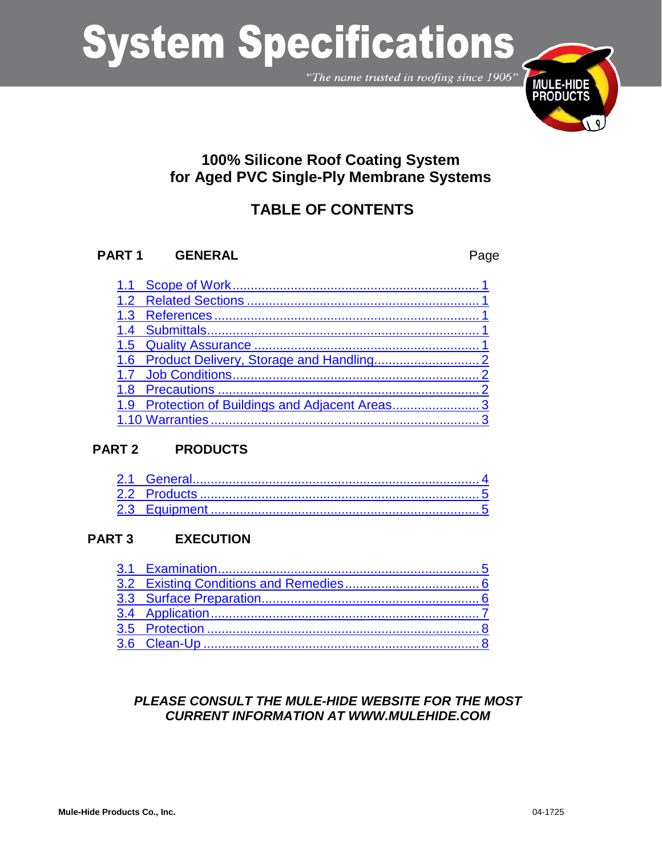"The name trusted in roofing since 1906"



## **100% Silicone Roof Coating System for Aged PVC Single-Ply Membrane Systems**

## **TABLE OF CONTENTS**

### **PART 1 GENERAL** Page

| 1.9 Protection of Buildings and Adjacent Areas3 |
|-------------------------------------------------|
|                                                 |

### **PART 2 PRODUCTS**

### **PART 3 EXECUTION**

### *PLEASE CONSULT THE MULE-HIDE WEBSITE FOR THE MOST CURRENT INFORMATION AT WWW.MULEHIDE.COM*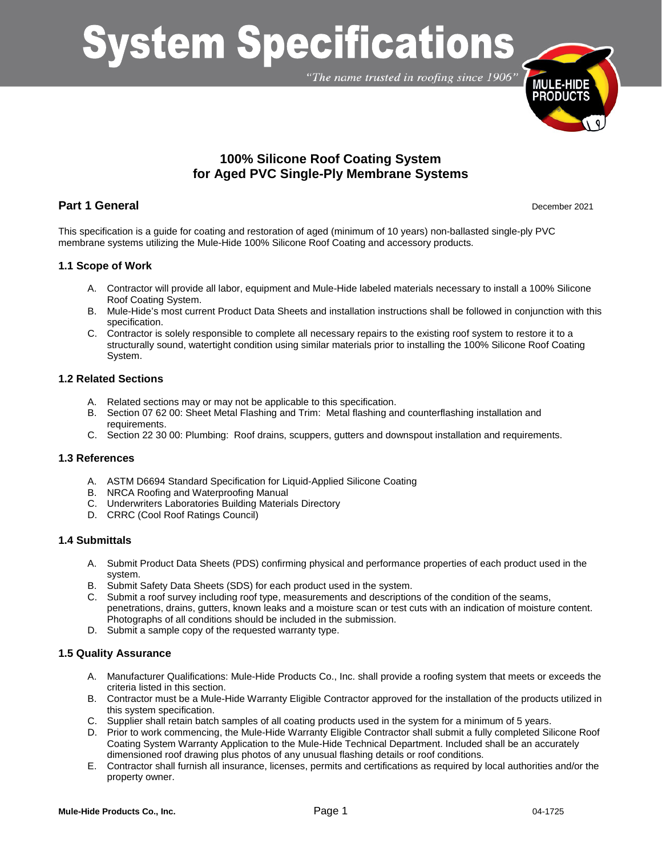"The name trusted in roofing since 1906"



### **100% Silicone Roof Coating System for Aged PVC Single-Ply Membrane Systems**

### **Part 1 General** December 2021

This specification is a guide for coating and restoration of aged (minimum of 10 years) non-ballasted single-ply PVC membrane systems utilizing the Mule-Hide 100% Silicone Roof Coating and accessory products.

### <span id="page-1-0"></span>**1.1 Scope of Work**

- A. Contractor will provide all labor, equipment and Mule-Hide labeled materials necessary to install a 100% Silicone Roof Coating System.
- B. Mule-Hide's most current Product Data Sheets and installation instructions shall be followed in conjunction with this specification.
- C. Contractor is solely responsible to complete all necessary repairs to the existing roof system to restore it to a structurally sound, watertight condition using similar materials prior to installing the 100% Silicone Roof Coating System.

#### <span id="page-1-1"></span>**1.2 Related Sections**

- A. Related sections may or may not be applicable to this specification.
- B. Section 07 62 00: Sheet Metal Flashing and Trim: Metal flashing and counterflashing installation and requirements.
- C. Section 22 30 00: Plumbing: Roof drains, scuppers, gutters and downspout installation and requirements.

### <span id="page-1-2"></span>**1.3 References**

- A. ASTM D6694 Standard Specification for Liquid-Applied Silicone Coating
- B. NRCA Roofing and Waterproofing Manual
- C. Underwriters Laboratories Building Materials Directory
- D. CRRC (Cool Roof Ratings Council)

### <span id="page-1-3"></span>**1.4 Submittals**

- A. Submit Product Data Sheets (PDS) confirming physical and performance properties of each product used in the system.
- B. Submit Safety Data Sheets (SDS) for each product used in the system.
- C. Submit a roof survey including roof type, measurements and descriptions of the condition of the seams, penetrations, drains, gutters, known leaks and a moisture scan or test cuts with an indication of moisture content. Photographs of all conditions should be included in the submission.
- D. Submit a sample copy of the requested warranty type.

### <span id="page-1-4"></span>**1.5 Quality Assurance**

- A. Manufacturer Qualifications: Mule-Hide Products Co., Inc. shall provide a roofing system that meets or exceeds the criteria listed in this section.
- B. Contractor must be a Mule-Hide Warranty Eligible Contractor approved for the installation of the products utilized in this system specification.
- C. Supplier shall retain batch samples of all coating products used in the system for a minimum of 5 years.
- D. Prior to work commencing, the Mule-Hide Warranty Eligible Contractor shall submit a fully completed Silicone Roof Coating System Warranty Application to the Mule-Hide Technical Department. Included shall be an accurately dimensioned roof drawing plus photos of any unusual flashing details or roof conditions.
- E. Contractor shall furnish all insurance, licenses, permits and certifications as required by local authorities and/or the property owner.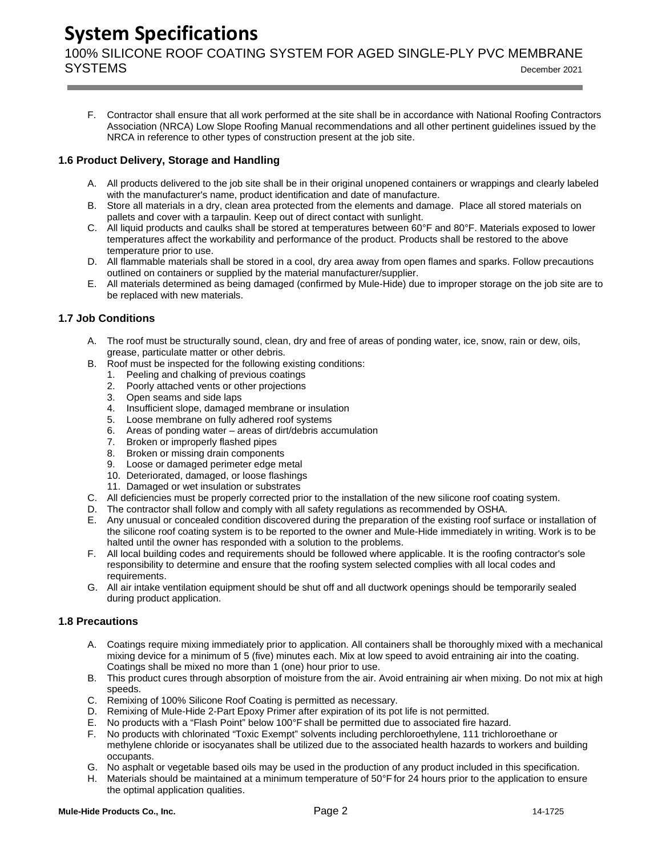100% SILICONE ROOF COATING SYSTEM FOR AGED SINGLE-PLY PVC MEMBRANE SYSTEMS December <sup>2021</sup>

F. Contractor shall ensure that all work performed at the site shall be in accordance with National Roofing Contractors Association (NRCA) Low Slope Roofing Manual recommendations and all other pertinent guidelines issued by the NRCA in reference to other types of construction present at the job site.

### <span id="page-2-0"></span>**1.6 Product Delivery, Storage and Handling**

- A. All products delivered to the job site shall be in their original unopened containers or wrappings and clearly labeled with the manufacturer's name, product identification and date of manufacture.
- B. Store all materials in a dry, clean area protected from the elements and damage. Place all stored materials on pallets and cover with a tarpaulin. Keep out of direct contact with sunlight.
- C. All liquid products and caulks shall be stored at temperatures between 60°F and 80°F. Materials exposed to lower temperatures affect the workability and performance of the product. Products shall be restored to the above temperature prior to use.
- D. All flammable materials shall be stored in a cool, dry area away from open flames and sparks. Follow precautions outlined on containers or supplied by the material manufacturer/supplier.
- E. All materials determined as being damaged (confirmed by Mule-Hide) due to improper storage on the job site are to be replaced with new materials.

### <span id="page-2-1"></span>**1.7 Job Conditions**

- A. The roof must be structurally sound, clean, dry and free of areas of ponding water, ice, snow, rain or dew, oils, grease, particulate matter or other debris.
- B. Roof must be inspected for the following existing conditions:
	- 1. Peeling and chalking of previous coatings
	- 2. Poorly attached vents or other projections
	- 3. Open seams and side laps
	- 4. Insufficient slope, damaged membrane or insulation
	- 5. Loose membrane on fully adhered roof systems
	- 6. Areas of ponding water areas of dirt/debris accumulation
	- 7. Broken or improperly flashed pipes
	- 8. Broken or missing drain components
	- 9. Loose or damaged perimeter edge metal
	- 10. Deteriorated, damaged, or loose flashings
	- 11. Damaged or wet insulation or substrates
- C. All deficiencies must be properly corrected prior to the installation of the new silicone roof coating system.
- D. The contractor shall follow and comply with all safety regulations as recommended by OSHA.
- E. Any unusual or concealed condition discovered during the preparation of the existing roof surface or installation of the silicone roof coating system is to be reported to the owner and Mule-Hide immediately in writing. Work is to be halted until the owner has responded with a solution to the problems.
- F. All local building codes and requirements should be followed where applicable. It is the roofing contractor's sole responsibility to determine and ensure that the roofing system selected complies with all local codes and requirements.
- G. All air intake ventilation equipment should be shut off and all ductwork openings should be temporarily sealed during product application.

### <span id="page-2-2"></span>**1.8 Precautions**

- A. Coatings require mixing immediately prior to application. All containers shall be thoroughly mixed with a mechanical mixing device for a minimum of 5 (five) minutes each. Mix at low speed to avoid entraining air into the coating. Coatings shall be mixed no more than 1 (one) hour prior to use.
- B. This product cures through absorption of moisture from the air. Avoid entraining air when mixing. Do not mix at high speeds.
- C. Remixing of 100% Silicone Roof Coating is permitted as necessary.<br>D. Remixing of Mule-Hide 2-Part Epoxy Primer after expiration of its no
- Remixing of Mule-Hide 2-Part Epoxy Primer after expiration of its pot life is not permitted.
- E. No products with a "Flash Point" below 100°F shall be permitted due to associated fire hazard.
- F. No products with chlorinated "Toxic Exempt" solvents including perchloroethylene, 111 trichloroethane or methylene chloride or isocyanates shall be utilized due to the associated health hazards to workers and building occupants.
- G. No asphalt or vegetable based oils may be used in the production of any product included in this specification.
- H. Materials should be maintained at a minimum temperature of 50°F for 24 hours prior to the application to ensure the optimal application qualities.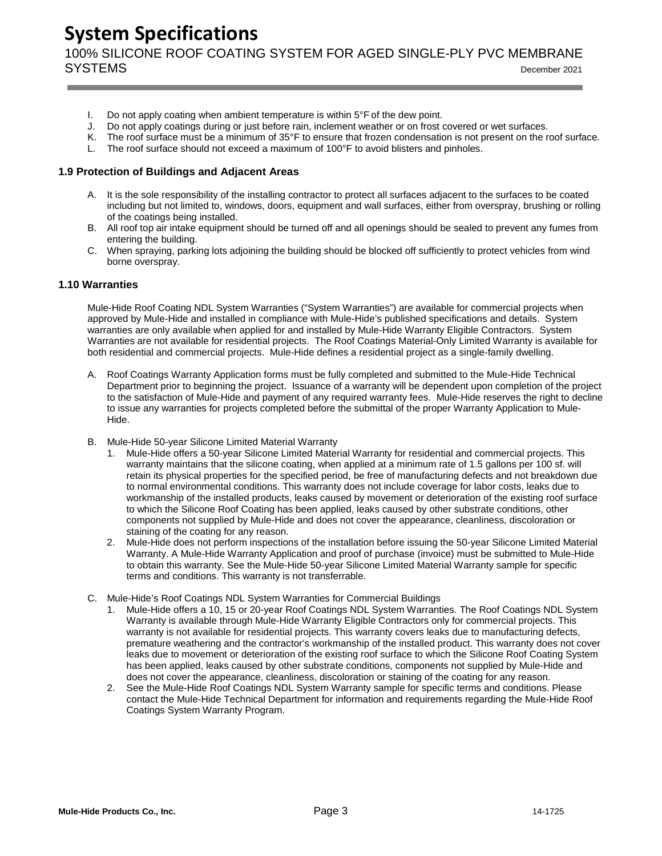100% SILICONE ROOF COATING SYSTEM FOR AGED SINGLE-PLY PVC MEMBRANE SYSTEMS December <sup>2021</sup>

- I. Do not apply coating when ambient temperature is within  $5^{\circ}$  F of the dew point.
- J. Do not apply coatings during or just before rain, inclement weather or on frost covered or wet surfaces.
- K. The roof surface must be a minimum of 35°F to ensure that frozen condensation is not present on the roof surface.
- L. The roof surface should not exceed a maximum of 100°F to avoid blisters and pinholes.

#### <span id="page-3-0"></span>**1.9 Protection of Buildings and Adjacent Areas**

- A. It is the sole responsibility of the installing contractor to protect all surfaces adjacent to the surfaces to be coated including but not limited to, windows, doors, equipment and wall surfaces, either from overspray, brushing or rolling of the coatings being installed.
- B. All roof top air intake equipment should be turned off and all openings should be sealed to prevent any fumes from entering the building.
- C. When spraying, parking lots adjoining the building should be blocked off sufficiently to protect vehicles from wind borne overspray.

### <span id="page-3-1"></span>**1.10 Warranties**

Mule-Hide Roof Coating NDL System Warranties ("System Warranties") are available for commercial projects when approved by Mule-Hide and installed in compliance with Mule-Hide's published specifications and details. System warranties are only available when applied for and installed by Mule-Hide Warranty Eligible Contractors. System Warranties are not available for residential projects. The Roof Coatings Material-Only Limited Warranty is available for both residential and commercial projects. Mule-Hide defines a residential project as a single-family dwelling.

- A. Roof Coatings Warranty Application forms must be fully completed and submitted to the Mule-Hide Technical Department prior to beginning the project. Issuance of a warranty will be dependent upon completion of the project to the satisfaction of Mule-Hide and payment of any required warranty fees. Mule-Hide reserves the right to decline to issue any warranties for projects completed before the submittal of the proper Warranty Application to Mule-Hide.
- B. Mule-Hide 50-year Silicone Limited Material Warranty
	- 1. Mule-Hide offers a 50-year Silicone Limited Material Warranty for residential and commercial projects. This warranty maintains that the silicone coating, when applied at a minimum rate of 1.5 gallons per 100 sf. will retain its physical properties for the specified period, be free of manufacturing defects and not breakdown due to normal environmental conditions. This warranty does not include coverage for labor costs, leaks due to workmanship of the installed products, leaks caused by movement or deterioration of the existing roof surface to which the Silicone Roof Coating has been applied, leaks caused by other substrate conditions, other components not supplied by Mule-Hide and does not cover the appearance, cleanliness, discoloration or staining of the coating for any reason.
	- 2. Mule-Hide does not perform inspections of the installation before issuing the 50-year Silicone Limited Material Warranty. A Mule-Hide Warranty Application and proof of purchase (invoice) must be submitted to Mule-Hide to obtain this warranty. See the Mule-Hide 50-year Silicone Limited Material Warranty sample for specific terms and conditions. This warranty is not transferrable.
- C. Mule-Hide's Roof Coatings NDL System Warranties for Commercial Buildings
	- 1. Mule-Hide offers a 10, 15 or 20-year Roof Coatings NDL System Warranties. The Roof Coatings NDL System Warranty is available through Mule-Hide Warranty Eligible Contractors only for commercial projects. This warranty is not available for residential projects. This warranty covers leaks due to manufacturing defects, premature weathering and the contractor's workmanship of the installed product. This warranty does not cover leaks due to movement or deterioration of the existing roof surface to which the Silicone Roof Coating System has been applied, leaks caused by other substrate conditions, components not supplied by Mule-Hide and does not cover the appearance, cleanliness, discoloration or staining of the coating for any reason.
	- 2. See the Mule-Hide Roof Coatings NDL System Warranty sample for specific terms and conditions. Please contact the Mule-Hide Technical Department for information and requirements regarding the Mule-Hide Roof Coatings System Warranty Program.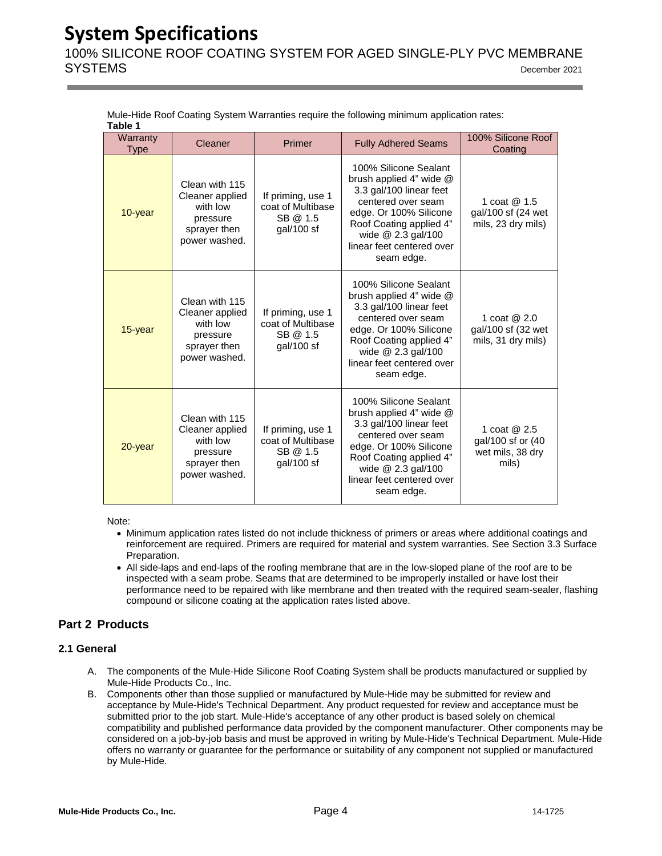100% SILICONE ROOF COATING SYSTEM FOR AGED SINGLE-PLY PVC MEMBRANE SYSTEMS December <sup>2021</sup>

| Table 1                 |                                                                                            |                                                                    |                                                                                                                                                                                                                               |                                                                 |  |  |  |  |
|-------------------------|--------------------------------------------------------------------------------------------|--------------------------------------------------------------------|-------------------------------------------------------------------------------------------------------------------------------------------------------------------------------------------------------------------------------|-----------------------------------------------------------------|--|--|--|--|
| Warranty<br><b>Type</b> | Cleaner                                                                                    | Primer                                                             | <b>Fully Adhered Seams</b>                                                                                                                                                                                                    | 100% Silicone Roof<br>Coating                                   |  |  |  |  |
| $10$ -year              | Clean with 115<br>Cleaner applied<br>with low<br>pressure<br>sprayer then<br>power washed. | If priming, use 1<br>coat of Multibase<br>SB @ 1.5<br>$gal/100$ sf | 100% Silicone Sealant<br>brush applied 4" wide $@$<br>3.3 gal/100 linear feet<br>centered over seam<br>edge. Or 100% Silicone<br>Roof Coating applied 4"<br>wide $@$ 2.3 gal/100<br>linear feet centered over<br>seam edge.   | 1 coat $@1.5$<br>gal/100 sf (24 wet<br>mils, 23 dry mils)       |  |  |  |  |
| $15$ -year              | Clean with 115<br>Cleaner applied<br>with low<br>pressure<br>sprayer then<br>power washed. | If priming, use 1<br>coat of Multibase<br>SB @ 1.5<br>gal/100 sf   | 100% Silicone Sealant<br>brush applied $4"$ wide $@$<br>3.3 gal/100 linear feet<br>centered over seam<br>edge. Or 100% Silicone<br>Roof Coating applied 4"<br>wide $@$ 2.3 gal/100<br>linear feet centered over<br>seam edge. | 1 coat $@2.0$<br>gal/100 sf (32 wet<br>mils, 31 dry mils)       |  |  |  |  |
| 20-year                 | Clean with 115<br>Cleaner applied<br>with low<br>pressure<br>sprayer then<br>power washed. | If priming, use 1<br>coat of Multibase<br>SB @ 1.5<br>gal/100 sf   | 100% Silicone Sealant<br>brush applied 4" wide @<br>3.3 gal/100 linear feet<br>centered over seam<br>edge. Or 100% Silicone<br>Roof Coating applied 4"<br>wide $@$ 2.3 gal/100<br>linear feet centered over<br>seam edge.     | 1 coat $@2.5$<br>gal/100 sf or (40<br>wet mils, 38 dry<br>mils) |  |  |  |  |

Mule-Hide Roof Coating System Warranties require the following minimum application rates:

Note:

- Minimum application rates listed do not include thickness of primers or areas where additional coatings and reinforcement are required. Primers are required for material and system warranties. See Section 3.3 Surface Preparation.
- All side-laps and end-laps of the roofing membrane that are in the low-sloped plane of the roof are to be inspected with a seam probe. Seams that are determined to be improperly installed or have lost their performance need to be repaired with like membrane and then treated with the required seam-sealer, flashing compound or silicone coating at the application rates listed above.

### **Part 2 Products**

### <span id="page-4-0"></span>**2.1 General**

- A. The components of the Mule-Hide Silicone Roof Coating System shall be products manufactured or supplied by Mule-Hide Products Co., Inc.
- B. Components other than those supplied or manufactured by Mule-Hide may be submitted for review and acceptance by Mule-Hide's Technical Department. Any product requested for review and acceptance must be submitted prior to the job start. Mule-Hide's acceptance of any other product is based solely on chemical compatibility and published performance data provided by the component manufacturer. Other components may be considered on a job-by-job basis and must be approved in writing by Mule-Hide's Technical Department. Mule-Hide offers no warranty or guarantee for the performance or suitability of any component not supplied or manufactured by Mule-Hide.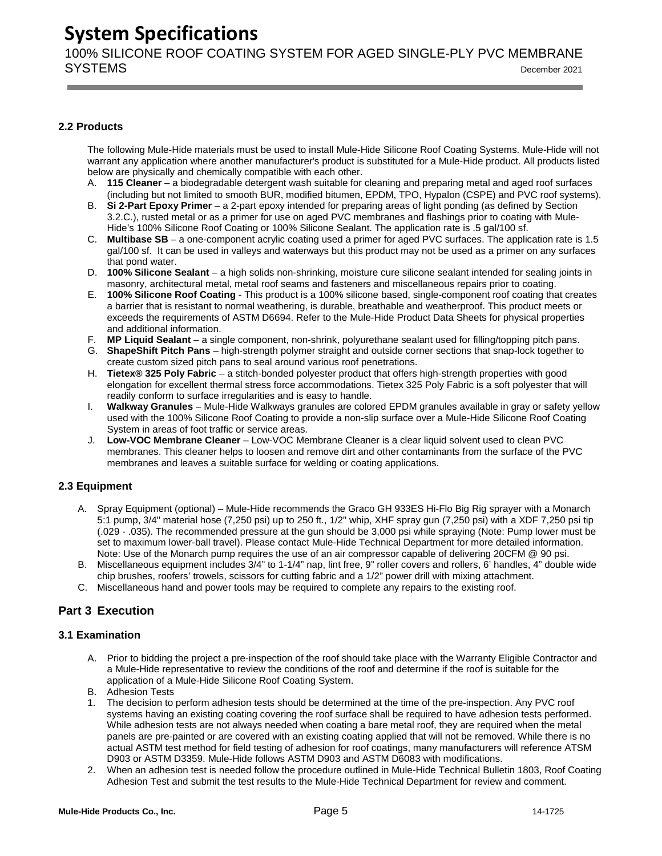100% SILICONE ROOF COATING SYSTEM FOR AGED SINGLE-PLY PVC MEMBRANE SYSTEMS December <sup>2021</sup>

### <span id="page-5-0"></span>**2.2 Products**

The following Mule-Hide materials must be used to install Mule-Hide Silicone Roof Coating Systems. Mule-Hide will not warrant any application where another manufacturer's product is substituted for a Mule-Hide product. All products listed below are physically and chemically compatible with each other.

- A. **115 Cleaner** a biodegradable detergent wash suitable for cleaning and preparing metal and aged roof surfaces (including but not limited to smooth BUR, modified bitumen, EPDM, TPO, Hypalon (CSPE) and PVC roof systems).
- B. **Si 2-Part Epoxy Primer** a 2-part epoxy intended for preparing areas of light ponding (as defined by Section 3.2.C.), rusted metal or as a primer for use on aged PVC membranes and flashings prior to coating with Mule-Hide's 100% Silicone Roof Coating or 100% Silicone Sealant. The application rate is .5 gal/100 sf.
- C. **Multibase SB** a one-component acrylic coating used a primer for aged PVC surfaces. The application rate is 1.5 gal/100 sf. It can be used in valleys and waterways but this product may not be used as a primer on any surfaces that pond water.
- D. **100% Silicone Sealant** a high solids non-shrinking, moisture cure silicone sealant intended for sealing joints in masonry, architectural metal, metal roof seams and fasteners and miscellaneous repairs prior to coating.
- E. **100% Silicone Roof Coating** This product is a 100% silicone based, single-component roof coating that creates a barrier that is resistant to normal weathering, is durable, breathable and weatherproof. This product meets or exceeds the requirements of ASTM D6694. Refer to the Mule-Hide Product Data Sheets for physical properties and additional information.
- F. **MP Liquid Sealant** a single component, non-shrink, polyurethane sealant used for filling/topping pitch pans.
- G. **ShapeShift Pitch Pans** high-strength polymer straight and outside corner sections that snap-lock together to create custom sized pitch pans to seal around various roof penetrations.
- H. **Tietex® 325 Poly Fabric** a stitch-bonded polyester product that offers high-strength properties with good elongation for excellent thermal stress force accommodations. Tietex 325 Poly Fabric is a soft polyester that will readily conform to surface irregularities and is easy to handle.
- I. **Walkway Granules** Mule-Hide Walkways granules are colored EPDM granules available in gray or safety yellow used with the 100% Silicone Roof Coating to provide a non-slip surface over a Mule-Hide Silicone Roof Coating System in areas of foot traffic or service areas.
- J. **Low-VOC Membrane Cleaner** Low-VOC Membrane Cleaner is a clear liquid solvent used to clean PVC membranes. This cleaner helps to loosen and remove dirt and other contaminants from the surface of the PVC membranes and leaves a suitable surface for welding or coating applications.

### <span id="page-5-1"></span>**2.3 Equipment**

- A. Spray Equipment (optional) Mule-Hide recommends the Graco GH 933ES Hi-Flo Big Rig sprayer with a Monarch 5:1 pump, 3/4" material hose (7,250 psi) up to 250 ft., 1/2" whip, XHF spray gun (7,250 psi) with a XDF 7,250 psi tip (.029 - .035). The recommended pressure at the gun should be 3,000 psi while spraying (Note: Pump lower must be set to maximum lower-ball travel). Please contact Mule-Hide Technical Department for more detailed information. Note: Use of the Monarch pump requires the use of an air compressor capable of delivering 20CFM @ 90 psi.
- B. Miscellaneous equipment includes 3/4" to 1-1/4" nap, lint free, 9" roller covers and rollers, 6' handles, 4" double wide chip brushes, roofers' trowels, scissors for cutting fabric and a 1/2" power drill with mixing attachment.
- C. Miscellaneous hand and power tools may be required to complete any repairs to the existing roof.

### **Part 3 Execution**

### <span id="page-5-2"></span>**3.1 Examination**

- A. Prior to bidding the project a pre-inspection of the roof should take place with the Warranty Eligible Contractor and a Mule-Hide representative to review the conditions of the roof and determine if the roof is suitable for the application of a Mule-Hide Silicone Roof Coating System.
- B. Adhesion Tests
- 1. The decision to perform adhesion tests should be determined at the time of the pre-inspection. Any PVC roof systems having an existing coating covering the roof surface shall be required to have adhesion tests performed. While adhesion tests are not always needed when coating a bare metal roof, they are required when the metal panels are pre-painted or are covered with an existing coating applied that will not be removed. While there is no actual ASTM test method for field testing of adhesion for roof coatings, many manufacturers will reference ATSM D903 or ASTM D3359. Mule-Hide follows ASTM D903 and ASTM D6083 with modifications.
- 2. When an adhesion test is needed follow the procedure outlined in Mule-Hide Technical Bulletin 1803, Roof Coating Adhesion Test and submit the test results to the Mule-Hide Technical Department for review and comment.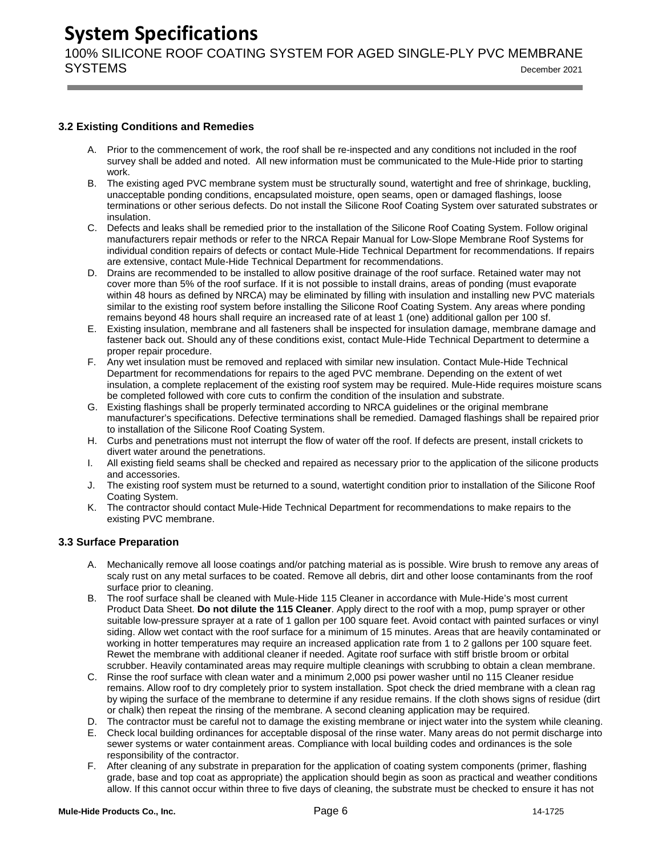100% SILICONE ROOF COATING SYSTEM FOR AGED SINGLE-PLY PVC MEMBRANE SYSTEMS December <sup>2021</sup>

### <span id="page-6-0"></span>**3.2 Existing Conditions and Remedies**

- A. Prior to the commencement of work, the roof shall be re-inspected and any conditions not included in the roof survey shall be added and noted. All new information must be communicated to the Mule-Hide prior to starting work.
- B. The existing aged PVC membrane system must be structurally sound, watertight and free of shrinkage, buckling, unacceptable ponding conditions, encapsulated moisture, open seams, open or damaged flashings, loose terminations or other serious defects. Do not install the Silicone Roof Coating System over saturated substrates or insulation.
- C. Defects and leaks shall be remedied prior to the installation of the Silicone Roof Coating System. Follow original manufacturers repair methods or refer to the NRCA Repair Manual for Low-Slope Membrane Roof Systems for individual condition repairs of defects or contact Mule-Hide Technical Department for recommendations. If repairs are extensive, contact Mule-Hide Technical Department for recommendations.
- D. Drains are recommended to be installed to allow positive drainage of the roof surface. Retained water may not cover more than 5% of the roof surface. If it is not possible to install drains, areas of ponding (must evaporate within 48 hours as defined by NRCA) may be eliminated by filling with insulation and installing new PVC materials similar to the existing roof system before installing the Silicone Roof Coating System. Any areas where ponding remains beyond 48 hours shall require an increased rate of at least 1 (one) additional gallon per 100 sf.
- E. Existing insulation, membrane and all fasteners shall be inspected for insulation damage, membrane damage and fastener back out. Should any of these conditions exist, contact Mule-Hide Technical Department to determine a proper repair procedure.
- F. Any wet insulation must be removed and replaced with similar new insulation. Contact Mule-Hide Technical Department for recommendations for repairs to the aged PVC membrane. Depending on the extent of wet insulation, a complete replacement of the existing roof system may be required. Mule-Hide requires moisture scans be completed followed with core cuts to confirm the condition of the insulation and substrate.
- G. Existing flashings shall be properly terminated according to NRCA guidelines or the original membrane manufacturer's specifications. Defective terminations shall be remedied. Damaged flashings shall be repaired prior to installation of the Silicone Roof Coating System.
- H. Curbs and penetrations must not interrupt the flow of water off the roof. If defects are present, install crickets to divert water around the penetrations.
- I. All existing field seams shall be checked and repaired as necessary prior to the application of the silicone products and accessories.
- J. The existing roof system must be returned to a sound, watertight condition prior to installation of the Silicone Roof Coating System.
- K. The contractor should contact Mule-Hide Technical Department for recommendations to make repairs to the existing PVC membrane.

### <span id="page-6-1"></span>**3.3 Surface Preparation**

- A. Mechanically remove all loose coatings and/or patching material as is possible. Wire brush to remove any areas of scaly rust on any metal surfaces to be coated. Remove all debris, dirt and other loose contaminants from the roof surface prior to cleaning.
- B. The roof surface shall be cleaned with Mule-Hide 115 Cleaner in accordance with Mule-Hide's most current Product Data Sheet. **Do not dilute the 115 Cleaner**. Apply direct to the roof with a mop, pump sprayer or other suitable low-pressure sprayer at a rate of 1 gallon per 100 square feet. Avoid contact with painted surfaces or vinyl siding. Allow wet contact with the roof surface for a minimum of 15 minutes. Areas that are heavily contaminated or working in hotter temperatures may require an increased application rate from 1 to 2 gallons per 100 square feet. Rewet the membrane with additional cleaner if needed. Agitate roof surface with stiff bristle broom or orbital scrubber. Heavily contaminated areas may require multiple cleanings with scrubbing to obtain a clean membrane.
- C. Rinse the roof surface with clean water and a minimum 2,000 psi power washer until no 115 Cleaner residue remains. Allow roof to dry completely prior to system installation. Spot check the dried membrane with a clean rag by wiping the surface of the membrane to determine if any residue remains. If the cloth shows signs of residue (dirt or chalk) then repeat the rinsing of the membrane. A second cleaning application may be required.
- D. The contractor must be careful not to damage the existing membrane or inject water into the system while cleaning.
- E. Check local building ordinances for acceptable disposal of the rinse water. Many areas do not permit discharge into sewer systems or water containment areas. Compliance with local building codes and ordinances is the sole responsibility of the contractor.
- F. After cleaning of any substrate in preparation for the application of coating system components (primer, flashing grade, base and top coat as appropriate) the application should begin as soon as practical and weather conditions allow. If this cannot occur within three to five days of cleaning, the substrate must be checked to ensure it has not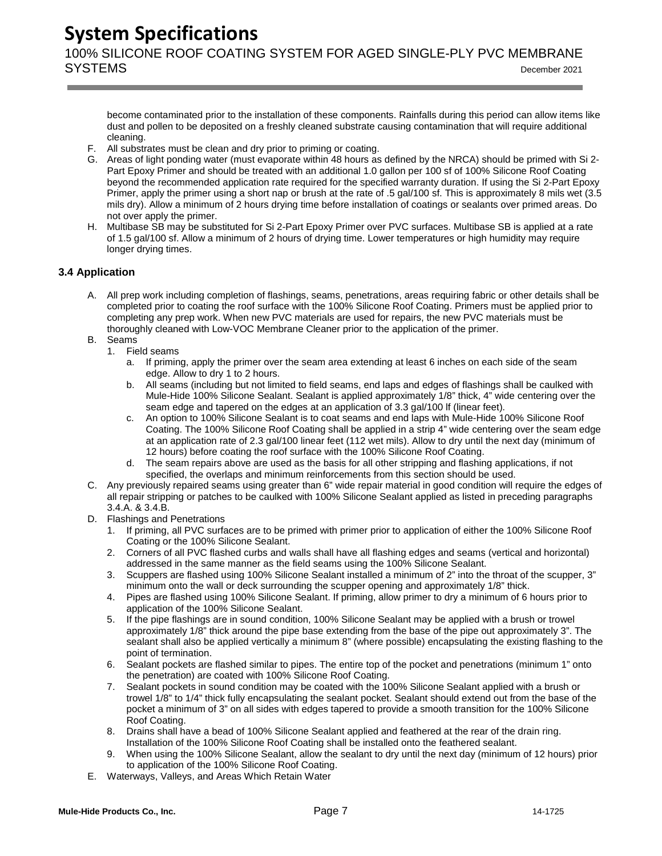100% SILICONE ROOF COATING SYSTEM FOR AGED SINGLE-PLY PVC MEMBRANE SYSTEMS December <sup>2021</sup>

become contaminated prior to the installation of these components. Rainfalls during this period can allow items like dust and pollen to be deposited on a freshly cleaned substrate causing contamination that will require additional cleaning.

- F. All substrates must be clean and dry prior to priming or coating.
- G. Areas of light ponding water (must evaporate within 48 hours as defined by the NRCA) should be primed with Si 2- Part Epoxy Primer and should be treated with an additional 1.0 gallon per 100 sf of 100% Silicone Roof Coating beyond the recommended application rate required for the specified warranty duration. If using the Si 2-Part Epoxy Primer, apply the primer using a short nap or brush at the rate of .5 gal/100 sf. This is approximately 8 mils wet (3.5 mils dry). Allow a minimum of 2 hours drying time before installation of coatings or sealants over primed areas. Do not over apply the primer.
- H. Multibase SB may be substituted for Si 2-Part Epoxy Primer over PVC surfaces. Multibase SB is applied at a rate of 1.5 gal/100 sf. Allow a minimum of 2 hours of drying time. Lower temperatures or high humidity may require longer drying times.

### <span id="page-7-0"></span>**3.4 Application**

- A. All prep work including completion of flashings, seams, penetrations, areas requiring fabric or other details shall be completed prior to coating the roof surface with the 100% Silicone Roof Coating. Primers must be applied prior to completing any prep work. When new PVC materials are used for repairs, the new PVC materials must be thoroughly cleaned with Low-VOC Membrane Cleaner prior to the application of the primer.
- B. Seams
	- 1. Field seams
		- a. If priming, apply the primer over the seam area extending at least 6 inches on each side of the seam edge. Allow to dry 1 to 2 hours.
		- b. All seams (including but not limited to field seams, end laps and edges of flashings shall be caulked with Mule-Hide 100% Silicone Sealant. Sealant is applied approximately 1/8" thick, 4" wide centering over the seam edge and tapered on the edges at an application of 3.3 gal/100 lf (linear feet).
		- c. An option to 100% Silicone Sealant is to coat seams and end laps with Mule-Hide 100% Silicone Roof Coating. The 100% Silicone Roof Coating shall be applied in a strip 4" wide centering over the seam edge at an application rate of 2.3 gal/100 linear feet (112 wet mils). Allow to dry until the next day (minimum of 12 hours) before coating the roof surface with the 100% Silicone Roof Coating.
		- d. The seam repairs above are used as the basis for all other stripping and flashing applications, if not specified, the overlaps and minimum reinforcements from this section should be used.
- C. Any previously repaired seams using greater than 6" wide repair material in good condition will require the edges of all repair stripping or patches to be caulked with 100% Silicone Sealant applied as listed in preceding paragraphs 3.4.A. & 3.4.B.
- D. Flashings and Penetrations
	- 1. If priming, all PVC surfaces are to be primed with primer prior to application of either the 100% Silicone Roof Coating or the 100% Silicone Sealant.
	- 2. Corners of all PVC flashed curbs and walls shall have all flashing edges and seams (vertical and horizontal) addressed in the same manner as the field seams using the 100% Silicone Sealant.
	- 3. Scuppers are flashed using 100% Silicone Sealant installed a minimum of 2" into the throat of the scupper, 3" minimum onto the wall or deck surrounding the scupper opening and approximately 1/8" thick.
	- 4. Pipes are flashed using 100% Silicone Sealant. If priming, allow primer to dry a minimum of 6 hours prior to application of the 100% Silicone Sealant.
	- 5. If the pipe flashings are in sound condition, 100% Silicone Sealant may be applied with a brush or trowel approximately 1/8" thick around the pipe base extending from the base of the pipe out approximately 3". The sealant shall also be applied vertically a minimum 8" (where possible) encapsulating the existing flashing to the point of termination.
	- 6. Sealant pockets are flashed similar to pipes. The entire top of the pocket and penetrations (minimum 1" onto the penetration) are coated with 100% Silicone Roof Coating.
	- 7. Sealant pockets in sound condition may be coated with the 100% Silicone Sealant applied with a brush or trowel 1/8" to 1/4" thick fully encapsulating the sealant pocket. Sealant should extend out from the base of the pocket a minimum of 3" on all sides with edges tapered to provide a smooth transition for the 100% Silicone Roof Coating.
	- 8. Drains shall have a bead of 100% Silicone Sealant applied and feathered at the rear of the drain ring. Installation of the 100% Silicone Roof Coating shall be installed onto the feathered sealant.
	- 9. When using the 100% Silicone Sealant, allow the sealant to dry until the next day (minimum of 12 hours) prior to application of the 100% Silicone Roof Coating.
- E. Waterways, Valleys, and Areas Which Retain Water